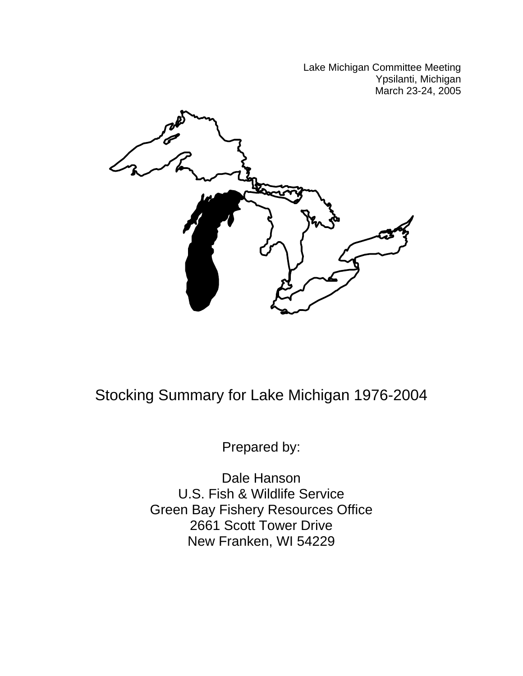Lake Michigan Committee Meeting Ypsilanti, Michigan March 23-24, 2005



Stocking Summary for Lake Michigan 1976-2004

Prepared by:

Dale Hanson U.S. Fish & Wildlife Service Green Bay Fishery Resources Office 2661 Scott Tower Drive New Franken, WI 54229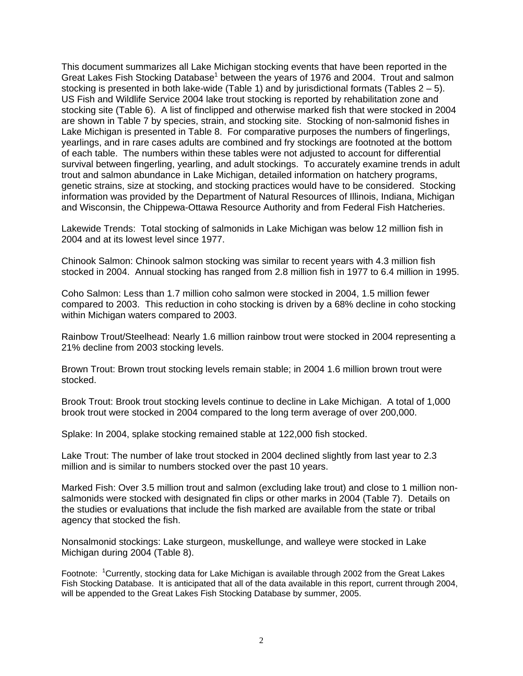This document summarizes all Lake Michigan stocking events that have been reported in the Great Lakes Fish Stocking Database<sup>1</sup> between the years of 1976 and 2004. Trout and salmon stocking is presented in both lake-wide (Table 1) and by jurisdictional formats (Tables  $2 - 5$ ). US Fish and Wildlife Service 2004 lake trout stocking is reported by rehabilitation zone and stocking site (Table 6). A list of finclipped and otherwise marked fish that were stocked in 2004 are shown in Table 7 by species, strain, and stocking site. Stocking of non-salmonid fishes in Lake Michigan is presented in Table 8. For comparative purposes the numbers of fingerlings, yearlings, and in rare cases adults are combined and fry stockings are footnoted at the bottom of each table. The numbers within these tables were not adjusted to account for differential survival between fingerling, yearling, and adult stockings. To accurately examine trends in adult trout and salmon abundance in Lake Michigan, detailed information on hatchery programs, genetic strains, size at stocking, and stocking practices would have to be considered. Stocking information was provided by the Department of Natural Resources of Illinois, Indiana, Michigan and Wisconsin, the Chippewa-Ottawa Resource Authority and from Federal Fish Hatcheries.

Lakewide Trends: Total stocking of salmonids in Lake Michigan was below 12 million fish in 2004 and at its lowest level since 1977.

Chinook Salmon: Chinook salmon stocking was similar to recent years with 4.3 million fish stocked in 2004. Annual stocking has ranged from 2.8 million fish in 1977 to 6.4 million in 1995.

Coho Salmon: Less than 1.7 million coho salmon were stocked in 2004, 1.5 million fewer compared to 2003. This reduction in coho stocking is driven by a 68% decline in coho stocking within Michigan waters compared to 2003.

Rainbow Trout/Steelhead: Nearly 1.6 million rainbow trout were stocked in 2004 representing a 21% decline from 2003 stocking levels.

Brown Trout: Brown trout stocking levels remain stable; in 2004 1.6 million brown trout were stocked.

Brook Trout: Brook trout stocking levels continue to decline in Lake Michigan. A total of 1,000 brook trout were stocked in 2004 compared to the long term average of over 200,000.

Splake: In 2004, splake stocking remained stable at 122,000 fish stocked.

Lake Trout: The number of lake trout stocked in 2004 declined slightly from last year to 2.3 million and is similar to numbers stocked over the past 10 years.

Marked Fish: Over 3.5 million trout and salmon (excluding lake trout) and close to 1 million nonsalmonids were stocked with designated fin clips or other marks in 2004 (Table 7). Details on the studies or evaluations that include the fish marked are available from the state or tribal agency that stocked the fish.

Nonsalmonid stockings: Lake sturgeon, muskellunge, and walleye were stocked in Lake Michigan during 2004 (Table 8).

Footnote: <sup>1</sup>Currently, stocking data for Lake Michigan is available through 2002 from the Great Lakes Fish Stocking Database. It is anticipated that all of the data available in this report, current through 2004, will be appended to the Great Lakes Fish Stocking Database by summer, 2005.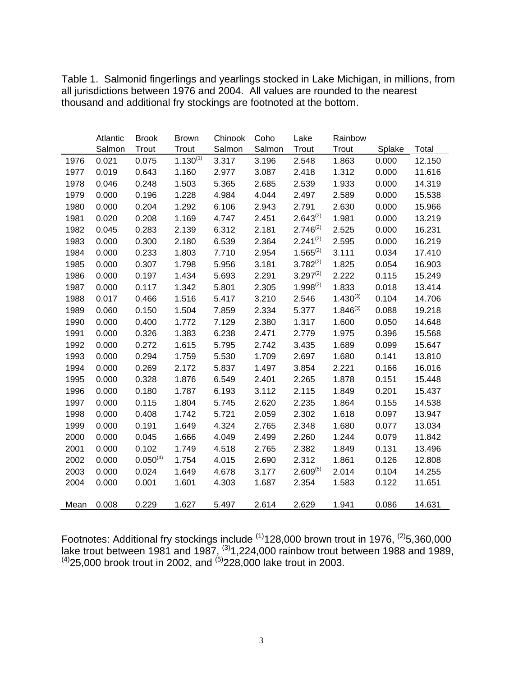Table 1. Salmonid fingerlings and yearlings stocked in Lake Michigan, in millions, from all jurisdictions between 1976 and 2004. All values are rounded to the nearest thousand and additional fry stockings are footnoted at the bottom.

|      | Atlantic | <b>Brook</b>  | <b>Brown</b>  | Chinook | Coho   | Lake          | Rainbow       |        |        |
|------|----------|---------------|---------------|---------|--------|---------------|---------------|--------|--------|
|      | Salmon   | Trout         | Trout         | Salmon  | Salmon | Trout         | Trout         | Splake | Total  |
| 1976 | 0.021    | 0.075         | $1.130^{(1)}$ | 3.317   | 3.196  | 2.548         | 1.863         | 0.000  | 12.150 |
| 1977 | 0.019    | 0.643         | 1.160         | 2.977   | 3.087  | 2.418         | 1.312         | 0.000  | 11.616 |
| 1978 | 0.046    | 0.248         | 1.503         | 5.365   | 2.685  | 2.539         | 1.933         | 0.000  | 14.319 |
| 1979 | 0.000    | 0.196         | 1.228         | 4.984   | 4.044  | 2.497         | 2.589         | 0.000  | 15.538 |
| 1980 | 0.000    | 0.204         | 1.292         | 6.106   | 2.943  | 2.791         | 2.630         | 0.000  | 15.966 |
| 1981 | 0.020    | 0.208         | 1.169         | 4.747   | 2.451  | $2.643^{(2)}$ | 1.981         | 0.000  | 13.219 |
| 1982 | 0.045    | 0.283         | 2.139         | 6.312   | 2.181  | $2.746^{(2)}$ | 2.525         | 0.000  | 16.231 |
| 1983 | 0.000    | 0.300         | 2.180         | 6.539   | 2.364  | $2.241^{(2)}$ | 2.595         | 0.000  | 16.219 |
| 1984 | 0.000    | 0.233         | 1.803         | 7.710   | 2.954  | $1.565^{(2)}$ | 3.111         | 0.034  | 17.410 |
| 1985 | 0.000    | 0.307         | 1.798         | 5.956   | 3.181  | $3.782^{(2)}$ | 1.825         | 0.054  | 16.903 |
| 1986 | 0.000    | 0.197         | 1.434         | 5.693   | 2.291  | $3.297^{(2)}$ | 2.222         | 0.115  | 15.249 |
| 1987 | 0.000    | 0.117         | 1.342         | 5.801   | 2.305  | $1.998^{(2)}$ | 1.833         | 0.018  | 13.414 |
| 1988 | 0.017    | 0.466         | 1.516         | 5.417   | 3.210  | 2.546         | $1.430^{(3)}$ | 0.104  | 14.706 |
| 1989 | 0.060    | 0.150         | 1.504         | 7.859   | 2.334  | 5.377         | $1.846^{(3)}$ | 0.088  | 19.218 |
| 1990 | 0.000    | 0.400         | 1.772         | 7.129   | 2.380  | 1.317         | 1.600         | 0.050  | 14.648 |
| 1991 | 0.000    | 0.326         | 1.383         | 6.238   | 2.471  | 2.779         | 1.975         | 0.396  | 15.568 |
| 1992 | 0.000    | 0.272         | 1.615         | 5.795   | 2.742  | 3.435         | 1.689         | 0.099  | 15.647 |
| 1993 | 0.000    | 0.294         | 1.759         | 5.530   | 1.709  | 2.697         | 1.680         | 0.141  | 13.810 |
| 1994 | 0.000    | 0.269         | 2.172         | 5.837   | 1.497  | 3.854         | 2.221         | 0.166  | 16.016 |
| 1995 | 0.000    | 0.328         | 1.876         | 6.549   | 2.401  | 2.265         | 1.878         | 0.151  | 15.448 |
| 1996 | 0.000    | 0.180         | 1.787         | 6.193   | 3.112  | 2.115         | 1.849         | 0.201  | 15.437 |
| 1997 | 0.000    | 0.115         | 1.804         | 5.745   | 2.620  | 2.235         | 1.864         | 0.155  | 14.538 |
| 1998 | 0.000    | 0.408         | 1.742         | 5.721   | 2.059  | 2.302         | 1.618         | 0.097  | 13.947 |
| 1999 | 0.000    | 0.191         | 1.649         | 4.324   | 2.765  | 2.348         | 1.680         | 0.077  | 13.034 |
| 2000 | 0.000    | 0.045         | 1.666         | 4.049   | 2.499  | 2.260         | 1.244         | 0.079  | 11.842 |
| 2001 | 0.000    | 0.102         | 1.749         | 4.518   | 2.765  | 2.382         | 1.849         | 0.131  | 13.496 |
| 2002 | 0.000    | $0.050^{(4)}$ | 1.754         | 4.015   | 2.690  | 2.312         | 1.861         | 0.126  | 12.808 |
| 2003 | 0.000    | 0.024         | 1.649         | 4.678   | 3.177  | $2.609^{(5)}$ | 2.014         | 0.104  | 14.255 |
| 2004 | 0.000    | 0.001         | 1.601         | 4.303   | 1.687  | 2.354         | 1.583         | 0.122  | 11.651 |
| Mean | 0.008    | 0.229         | 1.627         | 5.497   | 2.614  | 2.629         | 1.941         | 0.086  | 14.631 |

Footnotes: Additional fry stockings include  $^{(1)}$ 128,000 brown trout in 1976,  $^{(2)}$ 5,360,000 lake trout between 1981 and 1987,  $^{(3)}$ 1,224,000 rainbow trout between 1988 and 1989,  $^{(4)}$ 25,000 brook trout in 2002, and  $^{(5)}$ 228,000 lake trout in 2003.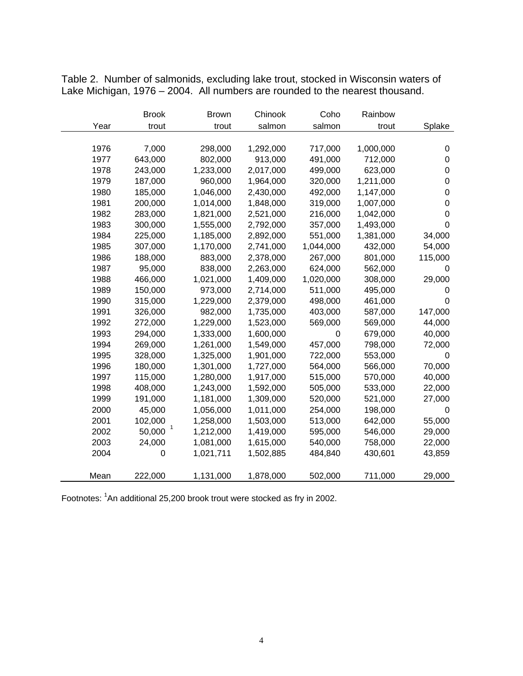Table 2. Number of salmonids, excluding lake trout, stocked in Wisconsin waters of Lake Michigan, 1976 – 2004. All numbers are rounded to the nearest thousand.

|      | <b>Brook</b> | <b>Brown</b> | Chinook   | Coho        | Rainbow   |             |
|------|--------------|--------------|-----------|-------------|-----------|-------------|
| Year | trout        | trout        | salmon    | salmon      | trout     | Splake      |
|      |              |              |           |             |           |             |
| 1976 | 7,000        | 298,000      | 1,292,000 | 717,000     | 1,000,000 | 0           |
| 1977 | 643,000      | 802,000      | 913,000   | 491,000     | 712,000   | 0           |
| 1978 | 243,000      | 1,233,000    | 2,017,000 | 499,000     | 623,000   | 0           |
| 1979 | 187,000      | 960,000      | 1,964,000 | 320,000     | 1,211,000 | 0           |
| 1980 | 185,000      | 1,046,000    | 2,430,000 | 492,000     | 1,147,000 | 0           |
| 1981 | 200,000      | 1,014,000    | 1,848,000 | 319,000     | 1,007,000 | $\mathbf 0$ |
| 1982 | 283,000      | 1,821,000    | 2,521,000 | 216,000     | 1,042,000 | $\mathbf 0$ |
| 1983 | 300,000      | 1,555,000    | 2,792,000 | 357,000     | 1,493,000 | $\mathbf 0$ |
| 1984 | 225,000      | 1,185,000    | 2,892,000 | 551,000     | 1,381,000 | 34,000      |
| 1985 | 307,000      | 1,170,000    | 2,741,000 | 1,044,000   | 432,000   | 54,000      |
| 1986 | 188,000      | 883,000      | 2,378,000 | 267,000     | 801,000   | 115,000     |
| 1987 | 95,000       | 838,000      | 2,263,000 | 624,000     | 562,000   | 0           |
| 1988 | 466,000      | 1,021,000    | 1,409,000 | 1,020,000   | 308,000   | 29,000      |
| 1989 | 150,000      | 973,000      | 2,714,000 | 511,000     | 495,000   | 0           |
| 1990 | 315,000      | 1,229,000    | 2,379,000 | 498,000     | 461,000   | $\mathbf 0$ |
| 1991 | 326,000      | 982,000      | 1,735,000 | 403,000     | 587,000   | 147,000     |
| 1992 | 272,000      | 1,229,000    | 1,523,000 | 569,000     | 569,000   | 44,000      |
| 1993 | 294,000      | 1,333,000    | 1,600,000 | $\mathbf 0$ | 679,000   | 40,000      |
| 1994 | 269,000      | 1,261,000    | 1,549,000 | 457,000     | 798,000   | 72,000      |
| 1995 | 328,000      | 1,325,000    | 1,901,000 | 722,000     | 553,000   | 0           |
| 1996 | 180,000      | 1,301,000    | 1,727,000 | 564,000     | 566,000   | 70,000      |
| 1997 | 115,000      | 1,280,000    | 1,917,000 | 515,000     | 570,000   | 40,000      |
| 1998 | 408,000      | 1,243,000    | 1,592,000 | 505,000     | 533,000   | 22,000      |
| 1999 | 191,000      | 1,181,000    | 1,309,000 | 520,000     | 521,000   | 27,000      |
| 2000 | 45,000       | 1,056,000    | 1,011,000 | 254,000     | 198,000   | 0           |
| 2001 | 102,000      | 1,258,000    | 1,503,000 | 513,000     | 642,000   | 55,000      |
| 2002 | 50,000       | 1,212,000    | 1,419,000 | 595,000     | 546,000   | 29,000      |
| 2003 | 24,000       | 1,081,000    | 1,615,000 | 540,000     | 758,000   | 22,000      |
| 2004 | 0            | 1,021,711    | 1,502,885 | 484,840     | 430,601   | 43,859      |
|      |              |              |           |             |           |             |
| Mean | 222,000      | 1,131,000    | 1,878,000 | 502,000     | 711,000   | 29,000      |

Footnotes: <sup>1</sup>An additional 25,200 brook trout were stocked as fry in 2002.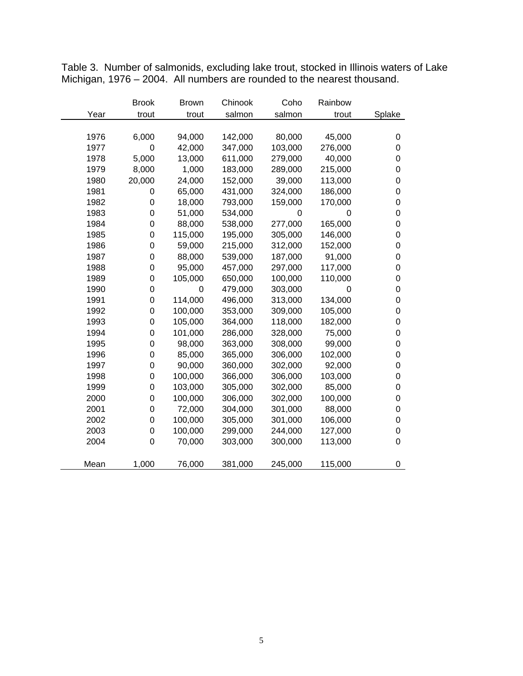|      | <b>Brook</b>     | <b>Brown</b> | Chinook | Coho    | Rainbow |                |
|------|------------------|--------------|---------|---------|---------|----------------|
| Year | trout            | trout        | salmon  | salmon  | trout   | Splake         |
|      |                  |              |         |         |         |                |
| 1976 | 6,000            | 94,000       | 142,000 | 80,000  | 45,000  | 0              |
| 1977 | 0                | 42,000       | 347,000 | 103,000 | 276,000 | 0              |
| 1978 | 5,000            | 13,000       | 611,000 | 279,000 | 40,000  | 0              |
| 1979 | 8,000            | 1,000        | 183,000 | 289,000 | 215,000 | 0              |
| 1980 | 20,000           | 24,000       | 152,000 | 39,000  | 113,000 | 0              |
| 1981 | 0                | 65,000       | 431,000 | 324,000 | 186,000 | 0              |
| 1982 | $\boldsymbol{0}$ | 18,000       | 793,000 | 159,000 | 170,000 | 0              |
| 1983 | $\mathbf 0$      | 51,000       | 534,000 | 0       | 0       | 0              |
| 1984 | 0                | 88,000       | 538,000 | 277,000 | 165,000 | 0              |
| 1985 | $\mathbf 0$      | 115,000      | 195,000 | 305,000 | 146,000 | 0              |
| 1986 | 0                | 59,000       | 215,000 | 312,000 | 152,000 | 0              |
| 1987 | 0                | 88,000       | 539,000 | 187,000 | 91,000  | 0              |
| 1988 | 0                | 95,000       | 457,000 | 297,000 | 117,000 | 0              |
| 1989 | 0                | 105,000      | 650,000 | 100,000 | 110,000 | 0              |
| 1990 | $\boldsymbol{0}$ | 0            | 479,000 | 303,000 | 0       | 0              |
| 1991 | 0                | 114,000      | 496,000 | 313,000 | 134,000 | 0              |
| 1992 | $\mathbf 0$      | 100,000      | 353,000 | 309,000 | 105,000 | 0              |
| 1993 | $\mathbf 0$      | 105,000      | 364,000 | 118,000 | 182,000 | 0              |
| 1994 | 0                | 101,000      | 286,000 | 328,000 | 75,000  | 0              |
| 1995 | 0                | 98,000       | 363,000 | 308,000 | 99,000  | 0              |
| 1996 | $\boldsymbol{0}$ | 85,000       | 365,000 | 306,000 | 102,000 | 0              |
| 1997 | 0                | 90,000       | 360,000 | 302,000 | 92,000  | 0              |
| 1998 | 0                | 100,000      | 366,000 | 306,000 | 103,000 | 0              |
| 1999 | $\mathbf 0$      | 103,000      | 305,000 | 302,000 | 85,000  | 0              |
| 2000 | 0                | 100,000      | 306,000 | 302,000 | 100,000 | 0              |
| 2001 | 0                | 72,000       | 304,000 | 301,000 | 88,000  | 0              |
| 2002 | $\boldsymbol{0}$ | 100,000      | 305,000 | 301,000 | 106,000 | 0              |
| 2003 | $\boldsymbol{0}$ | 100,000      | 299,000 | 244,000 | 127,000 | 0              |
| 2004 | 0                | 70,000       | 303,000 | 300,000 | 113,000 | $\overline{0}$ |
|      |                  |              |         |         |         |                |
| Mean | 1,000            | 76,000       | 381,000 | 245,000 | 115,000 | 0              |

Table 3. Number of salmonids, excluding lake trout, stocked in Illinois waters of Lake Michigan, 1976 – 2004. All numbers are rounded to the nearest thousand.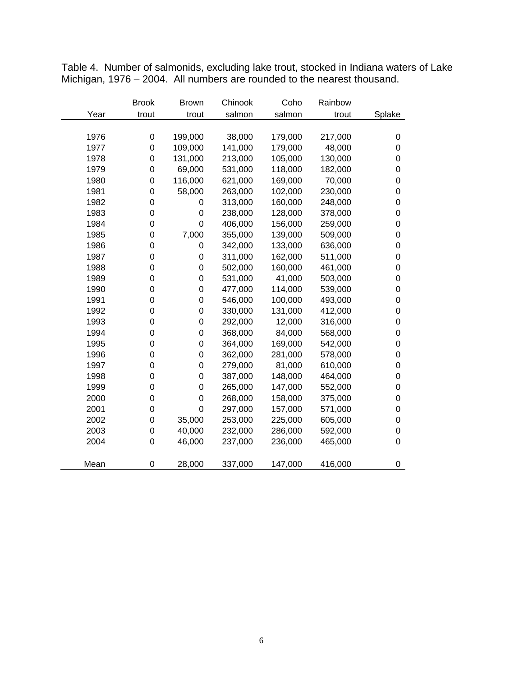|      | <b>Brook</b>     | <b>Brown</b> | Chinook | Coho    | Rainbow |                  |
|------|------------------|--------------|---------|---------|---------|------------------|
| Year | trout            | trout        | salmon  | salmon  | trout   | Splake           |
|      |                  |              |         |         |         |                  |
| 1976 | 0                | 199,000      | 38,000  | 179,000 | 217,000 | $\boldsymbol{0}$ |
| 1977 | $\mathbf 0$      | 109,000      | 141,000 | 179,000 | 48,000  | $\boldsymbol{0}$ |
| 1978 | 0                | 131,000      | 213,000 | 105,000 | 130,000 | $\mathbf 0$      |
| 1979 | $\mathbf 0$      | 69,000       | 531,000 | 118,000 | 182,000 | $\mathbf 0$      |
| 1980 | $\mathbf 0$      | 116,000      | 621,000 | 169,000 | 70,000  | $\mathbf 0$      |
| 1981 | $\mathbf 0$      | 58,000       | 263,000 | 102,000 | 230,000 | $\mathbf 0$      |
| 1982 | 0                | 0            | 313,000 | 160,000 | 248,000 | $\boldsymbol{0}$ |
| 1983 | 0                | 0            | 238,000 | 128,000 | 378,000 | $\mathbf 0$      |
| 1984 | $\mathbf 0$      | $\mathbf 0$  | 406,000 | 156,000 | 259,000 | $\mathbf 0$      |
| 1985 | 0                | 7,000        | 355,000 | 139,000 | 509,000 | $\mathbf 0$      |
| 1986 | $\mathbf 0$      | 0            | 342,000 | 133,000 | 636,000 | $\mathbf 0$      |
| 1987 | $\mathbf 0$      | 0            | 311,000 | 162,000 | 511,000 | $\pmb{0}$        |
| 1988 | $\mathbf 0$      | 0            | 502,000 | 160,000 | 461,000 | $\pmb{0}$        |
| 1989 | 0                | 0            | 531,000 | 41,000  | 503,000 | $\mathbf 0$      |
| 1990 | $\mathbf 0$      | 0            | 477,000 | 114,000 | 539,000 | $\mathbf 0$      |
| 1991 | $\boldsymbol{0}$ | $\mathbf 0$  | 546,000 | 100,000 | 493,000 | $\mathbf 0$      |
| 1992 | $\mathbf 0$      | $\mathbf 0$  | 330,000 | 131,000 | 412,000 | $\mathbf 0$      |
| 1993 | $\mathbf 0$      | 0            | 292,000 | 12,000  | 316,000 | $\pmb{0}$        |
| 1994 | 0                | 0            | 368,000 | 84,000  | 568,000 | $\pmb{0}$        |
| 1995 | $\mathbf 0$      | 0            | 364,000 | 169,000 | 542,000 | $\mathbf 0$      |
| 1996 | 0                | 0            | 362,000 | 281,000 | 578,000 | $\mathbf 0$      |
| 1997 | 0                | 0            | 279,000 | 81,000  | 610,000 | $\mathbf 0$      |
| 1998 | $\mathbf 0$      | $\mathbf 0$  | 387,000 | 148,000 | 464,000 | $\mathbf 0$      |
| 1999 | $\mathbf 0$      | $\mathbf 0$  | 265,000 | 147,000 | 552,000 | $\pmb{0}$        |
| 2000 | 0                | 0            | 268,000 | 158,000 | 375,000 | $\pmb{0}$        |
| 2001 | $\mathbf 0$      | $\mathbf 0$  | 297,000 | 157,000 | 571,000 | $\mathbf 0$      |
| 2002 | $\mathbf 0$      | 35,000       | 253,000 | 225,000 | 605,000 | $\mathbf 0$      |
| 2003 | 0                | 40,000       | 232,000 | 286,000 | 592,000 | $\mathbf 0$      |
| 2004 | $\overline{0}$   | 46,000       | 237,000 | 236,000 | 465,000 | $\mathbf 0$      |
|      |                  |              |         |         |         |                  |
| Mean | 0                | 28,000       | 337,000 | 147,000 | 416,000 | $\boldsymbol{0}$ |

Table 4. Number of salmonids, excluding lake trout, stocked in Indiana waters of Lake Michigan, 1976 – 2004. All numbers are rounded to the nearest thousand.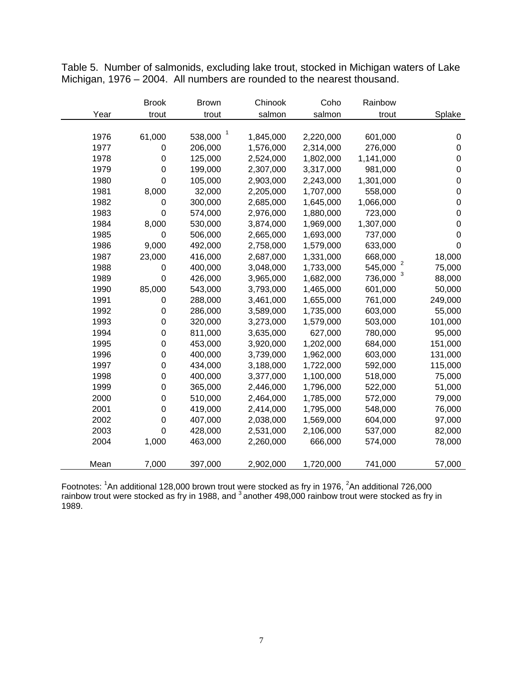|      | <b>Brook</b> | <b>Brown</b> | Chinook   | Coho      | Rainbow                   |                  |
|------|--------------|--------------|-----------|-----------|---------------------------|------------------|
| Year | trout        | trout        | salmon    | salmon    | trout                     | Splake           |
|      |              |              |           |           |                           |                  |
| 1976 | 61,000       | 1<br>538,000 | 1,845,000 | 2,220,000 | 601,000                   | $\pmb{0}$        |
| 1977 | 0            | 206,000      | 1,576,000 | 2,314,000 | 276,000                   | $\pmb{0}$        |
| 1978 | $\mathbf 0$  | 125,000      | 2,524,000 | 1,802,000 | 1,141,000                 | $\mathbf 0$      |
| 1979 | $\mathbf 0$  | 199,000      | 2,307,000 | 3,317,000 | 981,000                   | $\mathbf 0$      |
| 1980 | $\mathbf 0$  | 105,000      | 2,903,000 | 2,243,000 | 1,301,000                 | $\pmb{0}$        |
| 1981 | 8,000        | 32,000       | 2,205,000 | 1,707,000 | 558,000                   | $\pmb{0}$        |
| 1982 | 0            | 300,000      | 2,685,000 | 1,645,000 | 1,066,000                 | $\pmb{0}$        |
| 1983 | $\mathbf 0$  | 574,000      | 2,976,000 | 1,880,000 | 723,000                   | $\mathbf 0$      |
| 1984 | 8,000        | 530,000      | 3,874,000 | 1,969,000 | 1,307,000                 | $\pmb{0}$        |
| 1985 | $\mathbf 0$  | 506,000      | 2,665,000 | 1,693,000 | 737,000                   | $\boldsymbol{0}$ |
| 1986 | 9,000        | 492,000      | 2,758,000 | 1,579,000 | 633,000                   | $\mathbf 0$      |
| 1987 | 23,000       | 416,000      | 2,687,000 | 1,331,000 | 668,000                   | 18,000           |
| 1988 | 0            | 400,000      | 3,048,000 | 1,733,000 | $\overline{2}$<br>545,000 | 75,000           |
| 1989 | $\mathbf 0$  | 426,000      | 3,965,000 | 1,682,000 | 736,000                   | 88,000           |
| 1990 | 85,000       | 543,000      | 3,793,000 | 1,465,000 | 601,000                   | 50,000           |
| 1991 | 0            | 288,000      | 3,461,000 | 1,655,000 | 761,000                   | 249,000          |
| 1992 | $\mathbf 0$  | 286,000      | 3,589,000 | 1,735,000 | 603,000                   | 55,000           |
| 1993 | $\mathbf 0$  | 320,000      | 3,273,000 | 1,579,000 | 503,000                   | 101,000          |
| 1994 | 0            | 811,000      | 3,635,000 | 627,000   | 780,000                   | 95,000           |
| 1995 | $\mathbf 0$  | 453,000      | 3,920,000 | 1,202,000 | 684,000                   | 151,000          |
| 1996 | 0            | 400,000      | 3,739,000 | 1,962,000 | 603,000                   | 131,000          |
| 1997 | $\mathbf 0$  | 434,000      | 3,188,000 | 1,722,000 | 592,000                   | 115,000          |
| 1998 | $\mathbf 0$  | 400,000      | 3,377,000 | 1,100,000 | 518,000                   | 75,000           |
| 1999 | $\mathbf 0$  | 365,000      | 2,446,000 | 1,796,000 | 522,000                   | 51,000           |
| 2000 | $\mathbf 0$  | 510,000      | 2,464,000 | 1,785,000 | 572,000                   | 79,000           |
| 2001 | $\mathbf 0$  | 419,000      | 2,414,000 | 1,795,000 | 548,000                   | 76,000           |
| 2002 | $\mathbf 0$  | 407,000      | 2,038,000 | 1,569,000 | 604,000                   | 97,000           |
| 2003 | $\mathbf 0$  | 428,000      | 2,531,000 | 2,106,000 | 537,000                   | 82,000           |
| 2004 | 1,000        | 463,000      | 2,260,000 | 666,000   | 574,000                   | 78,000           |
|      |              |              |           |           |                           |                  |
| Mean | 7,000        | 397,000      | 2,902,000 | 1,720,000 | 741,000                   | 57,000           |

Table 5. Number of salmonids, excluding lake trout, stocked in Michigan waters of Lake Michigan, 1976 – 2004. All numbers are rounded to the nearest thousand.

Footnotes: <sup>1</sup>An additional 128,000 brown trout were stocked as fry in 1976, <sup>2</sup>An additional 726,000 rainbow trout were stocked as fry in 1988, and  $3$  another 498,000 rainbow trout were stocked as fry in 1989.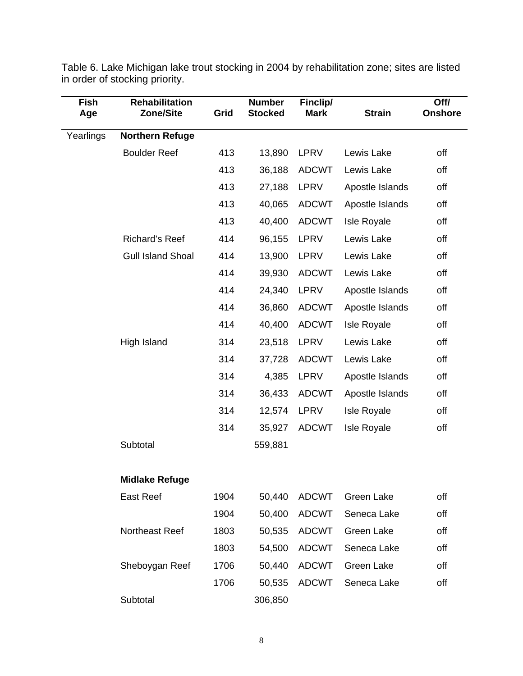| Fish<br>Age | <b>Rehabilitation</b><br>Zone/Site | Grid | <b>Number</b><br><b>Stocked</b> | Finclip/<br><b>Mark</b> | <b>Strain</b>      | Off/<br><b>Onshore</b> |
|-------------|------------------------------------|------|---------------------------------|-------------------------|--------------------|------------------------|
| Yearlings   | <b>Northern Refuge</b>             |      |                                 |                         |                    |                        |
|             | <b>Boulder Reef</b>                | 413  | 13,890                          | <b>LPRV</b>             | Lewis Lake         | off                    |
|             |                                    | 413  | 36,188                          | <b>ADCWT</b>            | Lewis Lake         | off                    |
|             |                                    | 413  | 27,188                          | LPRV                    | Apostle Islands    | off                    |
|             |                                    | 413  | 40,065                          | <b>ADCWT</b>            | Apostle Islands    | off                    |
|             |                                    | 413  | 40,400                          | <b>ADCWT</b>            | <b>Isle Royale</b> | off                    |
|             | <b>Richard's Reef</b>              | 414  | 96,155                          | <b>LPRV</b>             | Lewis Lake         | off                    |
|             | <b>Gull Island Shoal</b>           | 414  | 13,900                          | <b>LPRV</b>             | Lewis Lake         | off                    |
|             |                                    | 414  | 39,930                          | <b>ADCWT</b>            | Lewis Lake         | off                    |
|             |                                    | 414  | 24,340                          | LPRV                    | Apostle Islands    | off                    |
|             |                                    | 414  | 36,860                          | <b>ADCWT</b>            | Apostle Islands    | off                    |
|             |                                    | 414  | 40,400                          | <b>ADCWT</b>            | <b>Isle Royale</b> | off                    |
|             | High Island                        | 314  | 23,518                          | <b>LPRV</b>             | Lewis Lake         | off                    |
|             |                                    | 314  | 37,728                          | <b>ADCWT</b>            | Lewis Lake         | off                    |
|             |                                    | 314  | 4,385                           | <b>LPRV</b>             | Apostle Islands    | off                    |
|             |                                    | 314  | 36,433                          | <b>ADCWT</b>            | Apostle Islands    | off                    |
|             |                                    | 314  | 12,574                          | <b>LPRV</b>             | <b>Isle Royale</b> | off                    |
|             |                                    | 314  | 35,927                          | <b>ADCWT</b>            | <b>Isle Royale</b> | off                    |
|             | Subtotal                           |      | 559,881                         |                         |                    |                        |
|             | <b>Midlake Refuge</b>              |      |                                 |                         |                    |                        |
|             | <b>East Reef</b>                   | 1904 | 50,440                          | <b>ADCWT</b>            | Green Lake         | off                    |
|             |                                    | 1904 | 50,400                          | <b>ADCWT</b>            | Seneca Lake        | off                    |
|             | <b>Northeast Reef</b>              | 1803 | 50,535                          | <b>ADCWT</b>            | Green Lake         | off                    |
|             |                                    | 1803 | 54,500                          | <b>ADCWT</b>            | Seneca Lake        | off                    |
|             | Sheboygan Reef                     | 1706 | 50,440                          | <b>ADCWT</b>            | Green Lake         | off                    |
|             |                                    | 1706 | 50,535                          | <b>ADCWT</b>            | Seneca Lake        | off                    |
|             | Subtotal                           |      | 306,850                         |                         |                    |                        |

Table 6. Lake Michigan lake trout stocking in 2004 by rehabilitation zone; sites are listed in order of stocking priority.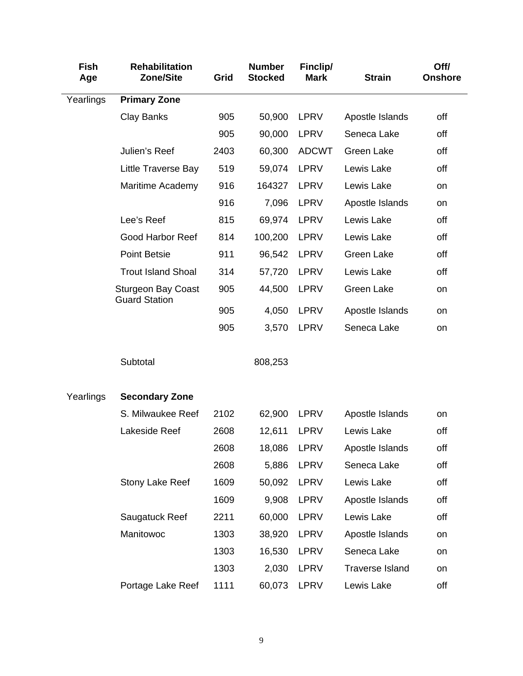| <b>Fish</b><br>Age | <b>Rehabilitation</b><br><b>Zone/Site</b>         | Grid | <b>Number</b><br><b>Stocked</b> | Finclip/<br><b>Mark</b> | <b>Strain</b>          | Off/<br><b>Onshore</b> |
|--------------------|---------------------------------------------------|------|---------------------------------|-------------------------|------------------------|------------------------|
| Yearlings          | <b>Primary Zone</b>                               |      |                                 |                         |                        |                        |
|                    | <b>Clay Banks</b>                                 | 905  | 50,900                          | LPRV                    | Apostle Islands        | off                    |
|                    |                                                   | 905  | 90,000                          | <b>LPRV</b>             | Seneca Lake            | off                    |
|                    | Julien's Reef                                     | 2403 | 60,300                          | <b>ADCWT</b>            | <b>Green Lake</b>      | off                    |
|                    | Little Traverse Bay                               | 519  | 59,074                          | <b>LPRV</b>             | Lewis Lake             | off                    |
|                    | Maritime Academy                                  | 916  | 164327                          | LPRV                    | Lewis Lake             | on                     |
|                    |                                                   | 916  | 7,096                           | LPRV                    | Apostle Islands        | on                     |
|                    | Lee's Reef                                        | 815  | 69,974                          | <b>LPRV</b>             | Lewis Lake             | off                    |
|                    | <b>Good Harbor Reef</b>                           | 814  | 100,200                         | LPRV                    | Lewis Lake             | off                    |
|                    | <b>Point Betsie</b>                               | 911  | 96,542                          | <b>LPRV</b>             | Green Lake             | off                    |
|                    | <b>Trout Island Shoal</b>                         | 314  | 57,720                          | <b>LPRV</b>             | Lewis Lake             | off                    |
|                    | <b>Sturgeon Bay Coast</b><br><b>Guard Station</b> | 905  | 44,500                          | <b>LPRV</b>             | <b>Green Lake</b>      | on                     |
|                    |                                                   | 905  | 4,050                           | <b>LPRV</b>             | Apostle Islands        | on                     |
|                    |                                                   | 905  | 3,570                           | <b>LPRV</b>             | Seneca Lake            | on                     |
|                    | Subtotal                                          |      | 808,253                         |                         |                        |                        |
| Yearlings          | <b>Secondary Zone</b>                             |      |                                 |                         |                        |                        |
|                    | S. Milwaukee Reef                                 | 2102 | 62,900                          | LPRV                    | Apostle Islands        | on                     |
|                    | Lakeside Reef                                     | 2608 | 12,611                          | <b>LPRV</b>             | Lewis Lake             | off                    |
|                    |                                                   | 2608 | 18,086                          | LPRV                    | Apostle Islands        | off                    |
|                    |                                                   | 2608 | 5,886                           | LPRV                    | Seneca Lake            | off                    |
|                    | Stony Lake Reef                                   | 1609 | 50,092                          | LPRV                    | Lewis Lake             | off                    |
|                    |                                                   | 1609 | 9,908                           | LPRV                    | Apostle Islands        | off                    |
|                    | Saugatuck Reef                                    | 2211 | 60,000                          | LPRV                    | Lewis Lake             | off                    |
|                    | Manitowoc                                         | 1303 | 38,920                          | LPRV                    | Apostle Islands        | on                     |
|                    |                                                   | 1303 | 16,530                          | LPRV                    | Seneca Lake            | on                     |
|                    |                                                   | 1303 | 2,030                           | LPRV                    | <b>Traverse Island</b> | on                     |
|                    | Portage Lake Reef                                 | 1111 | 60,073                          | LPRV                    | Lewis Lake             | off                    |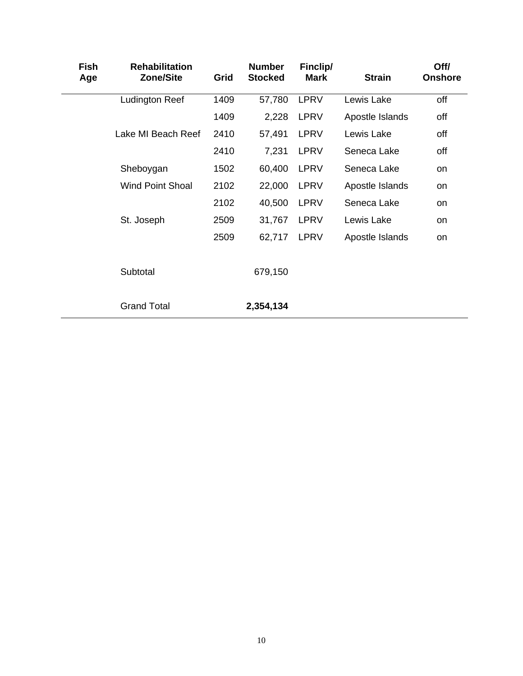| <b>Fish</b><br>Age | <b>Rehabilitation</b><br><b>Zone/Site</b> | Grid | <b>Number</b><br><b>Stocked</b> | Finclip/<br><b>Mark</b> | <b>Strain</b>   | Off/<br><b>Onshore</b> |
|--------------------|-------------------------------------------|------|---------------------------------|-------------------------|-----------------|------------------------|
|                    | <b>Ludington Reef</b>                     | 1409 | 57,780                          | <b>LPRV</b>             | Lewis Lake      | off                    |
|                    |                                           | 1409 | 2,228                           | LPRV                    | Apostle Islands | off                    |
|                    | Lake MI Beach Reef                        | 2410 | 57,491                          | LPRV                    | Lewis Lake      | off                    |
|                    |                                           | 2410 | 7,231                           | <b>LPRV</b>             | Seneca Lake     | off                    |
|                    | Sheboygan                                 | 1502 | 60,400                          | LPRV                    | Seneca Lake     | on                     |
|                    | <b>Wind Point Shoal</b>                   | 2102 | 22,000                          | LPRV                    | Apostle Islands | on                     |
|                    |                                           | 2102 | 40,500                          | <b>LPRV</b>             | Seneca Lake     | on                     |
|                    | St. Joseph                                | 2509 | 31,767                          | <b>LPRV</b>             | Lewis Lake      | <b>on</b>              |
|                    |                                           | 2509 | 62,717                          | LPRV                    | Apostle Islands | on                     |
|                    | Subtotal                                  |      | 679,150                         |                         |                 |                        |
|                    | <b>Grand Total</b>                        |      | 2,354,134                       |                         |                 |                        |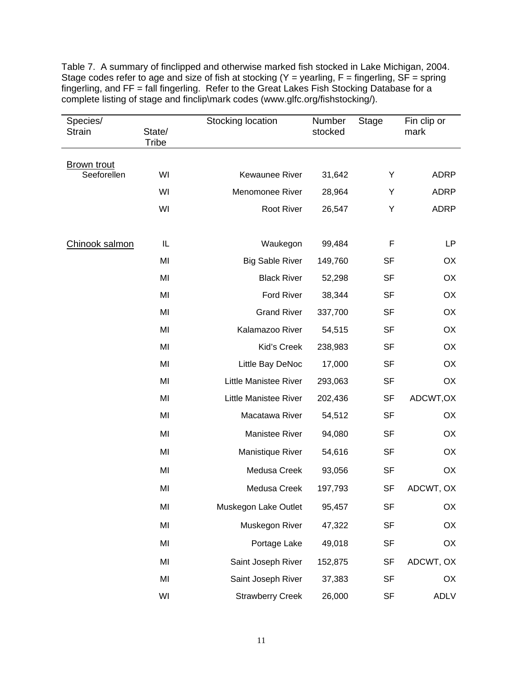Table 7. A summary of finclipped and otherwise marked fish stocked in Lake Michigan, 2004. Stage codes refer to age and size of fish at stocking  $(Y =$  yearling,  $F =$  fingerling,  $SF =$  spring fingerling, and FF = fall fingerling. Refer to the Great Lakes Fish Stocking Database for a complete listing of stage and finclip\mark codes (www.glfc.org/fishstocking/).

| Species/<br><b>Strain</b>         | State/<br><b>Tribe</b> | Stocking location            | Number<br>stocked | <b>Stage</b> | Fin clip or<br>mark |
|-----------------------------------|------------------------|------------------------------|-------------------|--------------|---------------------|
|                                   |                        |                              |                   |              |                     |
| <b>Brown trout</b><br>Seeforellen | WI                     | Kewaunee River               | 31,642            | Υ            | <b>ADRP</b>         |
|                                   | WI                     | Menomonee River              | 28,964            | Υ            | <b>ADRP</b>         |
|                                   | WI                     | Root River                   | 26,547            | Υ            | <b>ADRP</b>         |
|                                   |                        |                              |                   |              |                     |
| Chinook salmon                    | IL                     | Waukegon                     | 99,484            | F            | LP                  |
|                                   | MI                     | <b>Big Sable River</b>       | 149,760           | <b>SF</b>    | OX                  |
|                                   | MI                     | <b>Black River</b>           | 52,298            | <b>SF</b>    | OX                  |
|                                   | MI                     | Ford River                   | 38,344            | <b>SF</b>    | OX                  |
|                                   | MI                     | <b>Grand River</b>           | 337,700           | <b>SF</b>    | OX                  |
|                                   | MI                     | Kalamazoo River              | 54,515            | <b>SF</b>    | OX                  |
|                                   | MI                     | Kid's Creek                  | 238,983           | <b>SF</b>    | OX                  |
|                                   | MI                     | Little Bay DeNoc             | 17,000            | <b>SF</b>    | OX                  |
|                                   | MI                     | <b>Little Manistee River</b> | 293,063           | <b>SF</b>    | OX                  |
|                                   | MI                     | Little Manistee River        | 202,436           | <b>SF</b>    | ADCWT, OX           |
|                                   | MI                     | Macatawa River               | 54,512            | <b>SF</b>    | OX                  |
|                                   | MI                     | Manistee River               | 94,080            | <b>SF</b>    | OX                  |
|                                   | MI                     | Manistique River             | 54,616            | <b>SF</b>    | OX                  |
|                                   | MI                     | Medusa Creek                 | 93,056            | <b>SF</b>    | OX                  |
|                                   | MI                     | Medusa Creek                 | 197,793           | <b>SF</b>    | ADCWT, OX           |
|                                   | MI                     | Muskegon Lake Outlet         | 95,457            | <b>SF</b>    | OX                  |
|                                   | MI                     | Muskegon River               | 47,322            | <b>SF</b>    | OX                  |
|                                   | MI                     | Portage Lake                 | 49,018            | <b>SF</b>    | OX                  |
|                                   | MI                     | Saint Joseph River           | 152,875           | <b>SF</b>    | ADCWT, OX           |
|                                   | MI                     | Saint Joseph River           | 37,383            | <b>SF</b>    | OX                  |
|                                   | WI                     | <b>Strawberry Creek</b>      | 26,000            | <b>SF</b>    | ADLV                |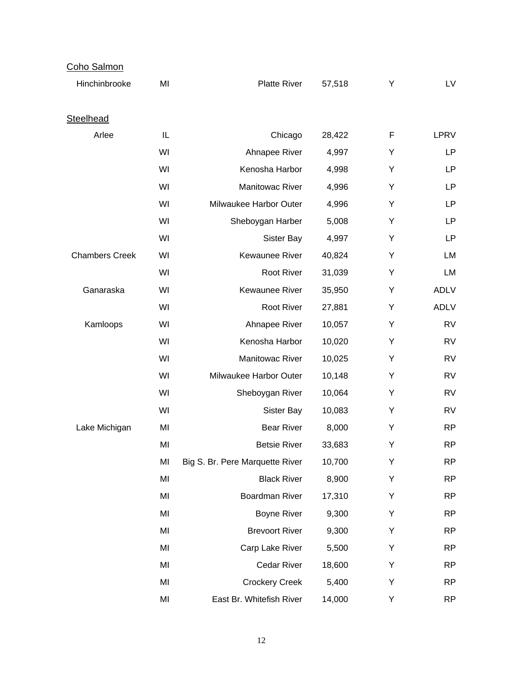| Coho Salmon           |    |                                 |        |   |             |
|-----------------------|----|---------------------------------|--------|---|-------------|
| Hinchinbrooke         | MI | <b>Platte River</b>             | 57,518 | Υ | LV          |
| Steelhead             |    |                                 |        |   |             |
| Arlee                 | IL | Chicago                         | 28,422 | F | LPRV        |
|                       | WI | Ahnapee River                   | 4,997  | Υ | LP          |
|                       | WI | Kenosha Harbor                  | 4,998  | Υ | LP          |
|                       | WI | Manitowac River                 | 4,996  | Υ | LP          |
|                       | WI | Milwaukee Harbor Outer          | 4,996  | Υ | LP          |
|                       | WI | Sheboygan Harber                | 5,008  | Υ | LP          |
|                       | WI | Sister Bay                      | 4,997  | Υ | LP          |
| <b>Chambers Creek</b> | WI | Kewaunee River                  | 40,824 | Υ | LM          |
|                       | WI | Root River                      | 31,039 | Υ | LM          |
| Ganaraska             | WI | Kewaunee River                  | 35,950 | Υ | <b>ADLV</b> |
|                       | WI | Root River                      | 27,881 | Υ | <b>ADLV</b> |
| Kamloops              | WI | Ahnapee River                   | 10,057 | Υ | <b>RV</b>   |
|                       | WI | Kenosha Harbor                  | 10,020 | Υ | <b>RV</b>   |
|                       | WI | Manitowac River                 | 10,025 | Υ | <b>RV</b>   |
|                       | WI | Milwaukee Harbor Outer          | 10,148 | Υ | <b>RV</b>   |
|                       | WI | Sheboygan River                 | 10,064 | Υ | <b>RV</b>   |
|                       | WI | Sister Bay                      | 10,083 | Υ | <b>RV</b>   |
| Lake Michigan         | MI | <b>Bear River</b>               | 8,000  | Υ | <b>RP</b>   |
|                       | MI | <b>Betsie River</b>             | 33,683 | Y | <b>RP</b>   |
|                       | MI | Big S. Br. Pere Marquette River | 10,700 | Υ | <b>RP</b>   |
|                       | MI | <b>Black River</b>              | 8,900  | Υ | <b>RP</b>   |
|                       | MI | Boardman River                  | 17,310 | Υ | <b>RP</b>   |
|                       | MI | <b>Boyne River</b>              | 9,300  | Υ | <b>RP</b>   |
|                       | MI | <b>Brevoort River</b>           | 9,300  | Υ | <b>RP</b>   |
|                       | MI | Carp Lake River                 | 5,500  | Υ | <b>RP</b>   |
|                       | MI | Cedar River                     | 18,600 | Υ | <b>RP</b>   |
|                       | MI | <b>Crockery Creek</b>           | 5,400  | Υ | <b>RP</b>   |
|                       | MI | East Br. Whitefish River        | 14,000 | Υ | <b>RP</b>   |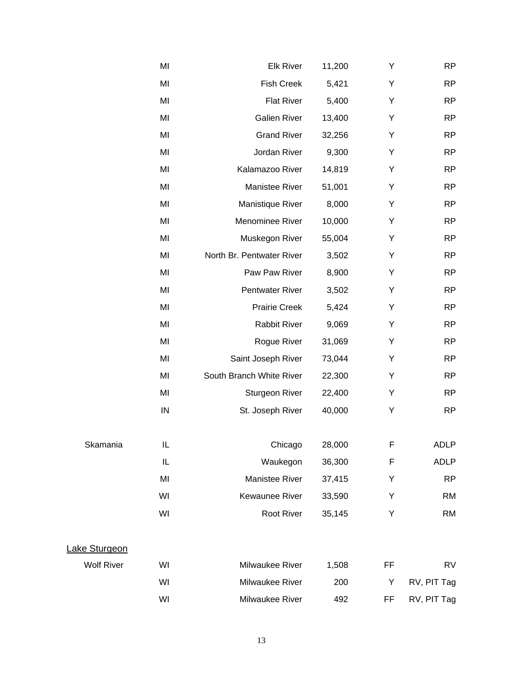|                   | MI | <b>Elk River</b>          | 11,200 | Υ           | <b>RP</b>   |
|-------------------|----|---------------------------|--------|-------------|-------------|
|                   | MI | <b>Fish Creek</b>         | 5,421  | Υ           | <b>RP</b>   |
|                   | MI | <b>Flat River</b>         | 5,400  | Υ           | <b>RP</b>   |
|                   | MI | <b>Galien River</b>       | 13,400 | Υ           | <b>RP</b>   |
|                   | MI | <b>Grand River</b>        | 32,256 | Υ           | <b>RP</b>   |
|                   | MI | Jordan River              | 9,300  | Υ           | <b>RP</b>   |
|                   | MI | Kalamazoo River           | 14,819 | Υ           | <b>RP</b>   |
|                   | MI | Manistee River            | 51,001 | Υ           | <b>RP</b>   |
|                   | MI | Manistique River          | 8,000  | Υ           | <b>RP</b>   |
|                   | MI | Menominee River           | 10,000 | Υ           | <b>RP</b>   |
|                   | MI | Muskegon River            | 55,004 | Υ           | <b>RP</b>   |
|                   | MI | North Br. Pentwater River | 3,502  | Υ           | <b>RP</b>   |
|                   | MI | Paw Paw River             | 8,900  | Υ           | <b>RP</b>   |
|                   | MI | Pentwater River           | 3,502  | Υ           | <b>RP</b>   |
|                   | MI | <b>Prairie Creek</b>      | 5,424  | Υ           | <b>RP</b>   |
|                   | MI | <b>Rabbit River</b>       | 9,069  | Υ           | <b>RP</b>   |
|                   | MI | Rogue River               | 31,069 | Υ           | <b>RP</b>   |
|                   | MI | Saint Joseph River        | 73,044 | Υ           | <b>RP</b>   |
|                   | MI | South Branch White River  | 22,300 | Υ           | <b>RP</b>   |
|                   | MI | Sturgeon River            | 22,400 | Υ           | <b>RP</b>   |
|                   | IN | St. Joseph River          | 40,000 | Υ           | <b>RP</b>   |
| Skamania          | IL | Chicago                   | 28,000 | F           | ADLP        |
|                   | IL | Waukegon                  | 36,300 | $\mathsf F$ | <b>ADLP</b> |
|                   | MI | Manistee River            | 37,415 | Υ           | <b>RP</b>   |
|                   | WI | <b>Kewaunee River</b>     | 33,590 | Υ           | <b>RM</b>   |
|                   | WI | Root River                | 35,145 | Υ           | <b>RM</b>   |
| Lake Sturgeon     |    |                           |        |             |             |
| <b>Wolf River</b> | WI | Milwaukee River           | 1,508  | FF          | <b>RV</b>   |
|                   | WI | Milwaukee River           | 200    | Υ           | RV, PIT Tag |
|                   | WI | Milwaukee River           | 492    | FF          | RV, PIT Tag |
|                   |    |                           |        |             |             |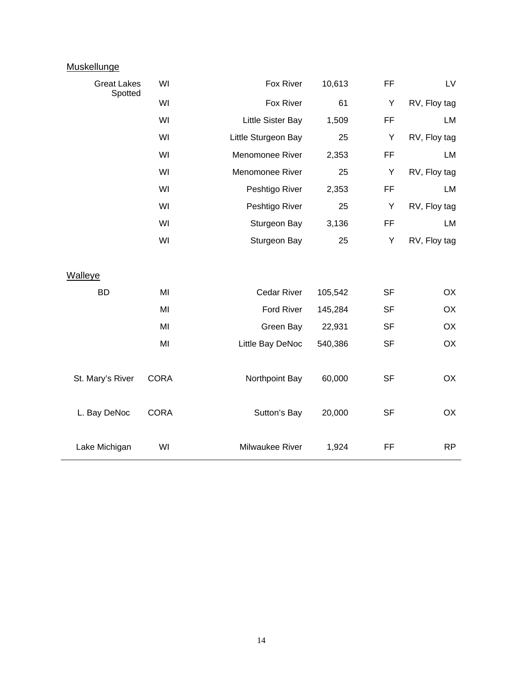| <b>Muskellunge</b>            |             |                     |         |           |              |
|-------------------------------|-------------|---------------------|---------|-----------|--------------|
| <b>Great Lakes</b><br>Spotted | WI          | Fox River           | 10,613  | FF.       | LV           |
|                               | WI          | Fox River           | 61      | Y         | RV, Floy tag |
|                               | WI          | Little Sister Bay   | 1,509   | <b>FF</b> | LM           |
|                               | WI          | Little Sturgeon Bay | 25      | Y         | RV, Floy tag |
|                               | WI          | Menomonee River     | 2,353   | <b>FF</b> | LM           |
|                               | WI          | Menomonee River     | 25      | Y         | RV, Floy tag |
|                               | WI          | Peshtigo River      | 2,353   | FF.       | LM           |
|                               | WI          | Peshtigo River      | 25      | Y         | RV, Floy tag |
|                               | WI          | Sturgeon Bay        | 3,136   | <b>FF</b> | LM           |
|                               | WI          | Sturgeon Bay        | 25      | Y         | RV, Floy tag |
|                               |             |                     |         |           |              |
| <b>Walleye</b>                |             |                     |         |           |              |
| <b>BD</b>                     | MI          | <b>Cedar River</b>  | 105,542 | <b>SF</b> | <b>OX</b>    |
|                               | MI          | <b>Ford River</b>   | 145,284 | <b>SF</b> | OX           |
|                               | MI          | Green Bay           | 22,931  | <b>SF</b> | OX           |
|                               | MI          | Little Bay DeNoc    | 540,386 | <b>SF</b> | OX           |
|                               |             |                     |         |           |              |
| St. Mary's River              | <b>CORA</b> | Northpoint Bay      | 60,000  | <b>SF</b> | OX           |
|                               |             |                     |         |           |              |
| L. Bay DeNoc                  | <b>CORA</b> | Sutton's Bay        | 20,000  | <b>SF</b> | OX           |
|                               |             |                     |         |           |              |
| Lake Michigan                 | WI          | Milwaukee River     | 1,924   | FF        | <b>RP</b>    |